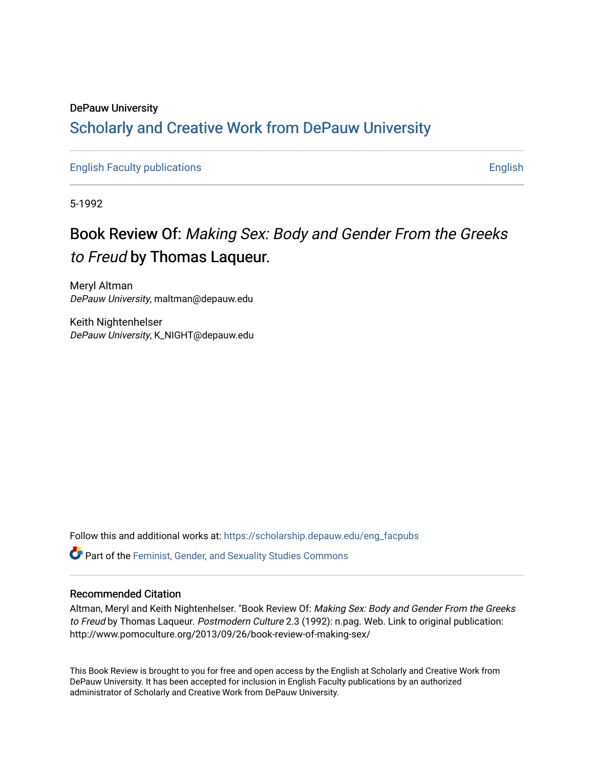### DePauw University Scholarly and [Creative Work from DePauw Univ](https://scholarship.depauw.edu/)ersity

[English Faculty publications](https://scholarship.depauw.edu/eng_facpubs) **English** English

5-1992

## Book Review Of: Making Sex: Body and Gender From the Greeks to Freud by Thomas Laqueur.

Meryl Altman DePauw University, maltman@depauw.edu

Keith Nightenhelser DePauw University, K\_NIGHT@depauw.edu

Follow this and additional works at: [https://scholarship.depauw.edu/eng\\_facpubs](https://scholarship.depauw.edu/eng_facpubs?utm_source=scholarship.depauw.edu%2Feng_facpubs%2F19&utm_medium=PDF&utm_campaign=PDFCoverPages) 

Part of the [Feminist, Gender, and Sexuality Studies Commons](https://network.bepress.com/hgg/discipline/559?utm_source=scholarship.depauw.edu%2Feng_facpubs%2F19&utm_medium=PDF&utm_campaign=PDFCoverPages)

#### Recommended Citation

Altman, Meryl and Keith Nightenhelser. "Book Review Of: Making Sex: Body and Gender From the Greeks to Freud by Thomas Laqueur. Postmodern Culture 2.3 (1992): n.pag. Web. Link to original publication: http://www.pomoculture.org/2013/09/26/book-review-of-making-sex/

This Book Review is brought to you for free and open access by the English at Scholarly and Creative Work from DePauw University. It has been accepted for inclusion in English Faculty publications by an authorized administrator of Scholarly and Creative Work from DePauw University.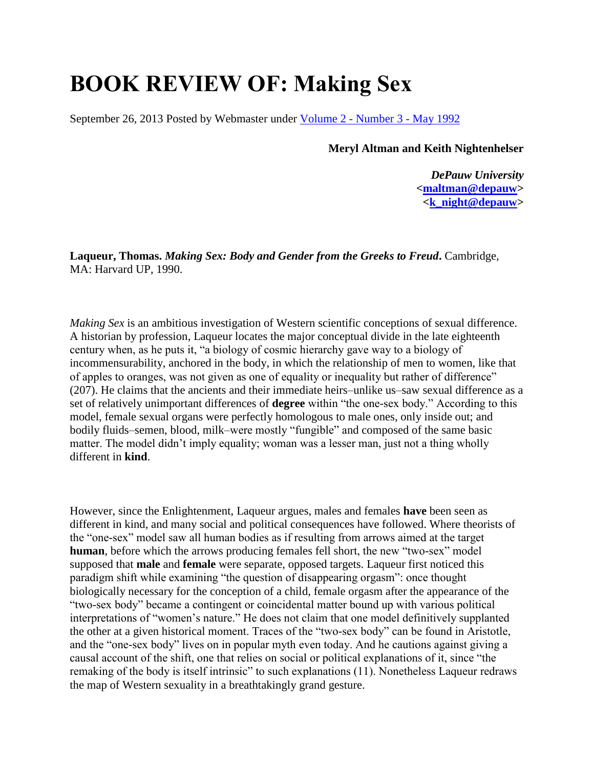# **BOOK REVIEW OF: Making Sex**

September 26, 2013 Posted by Webmaster under Volume 2 - [Number 3 -](http://www.pomoculture.org/category/volume-2-number-3-may-1992/) May 1992

**Meryl Altman and Keith Nightenhelser**

*DePauw University* **[<maltman@depauw>](mailto:maltman@depauw) [<k\\_night@depauw>](mailto:k_night@depauw)**

**Laqueur, Thomas.** *Making Sex: Body and Gender from the Greeks to Freud***.** Cambridge, MA: Harvard UP, 1990.

*Making Sex* is an ambitious investigation of Western scientific conceptions of sexual difference. A historian by profession, Laqueur locates the major conceptual divide in the late eighteenth century when, as he puts it, "a biology of cosmic hierarchy gave way to a biology of incommensurability, anchored in the body, in which the relationship of men to women, like that of apples to oranges, was not given as one of equality or inequality but rather of difference" (207). He claims that the ancients and their immediate heirs–unlike us–saw sexual difference as a set of relatively unimportant differences of **degree** within "the one-sex body." According to this model, female sexual organs were perfectly homologous to male ones, only inside out; and bodily fluids–semen, blood, milk–were mostly "fungible" and composed of the same basic matter. The model didn't imply equality; woman was a lesser man, just not a thing wholly different in **kind**.

However, since the Enlightenment, Laqueur argues, males and females **have** been seen as different in kind, and many social and political consequences have followed. Where theorists of the "one-sex" model saw all human bodies as if resulting from arrows aimed at the target **human**, before which the arrows producing females fell short, the new "two-sex" model supposed that **male** and **female** were separate, opposed targets. Laqueur first noticed this paradigm shift while examining "the question of disappearing orgasm": once thought biologically necessary for the conception of a child, female orgasm after the appearance of the "two-sex body" became a contingent or coincidental matter bound up with various political interpretations of "women's nature." He does not claim that one model definitively supplanted the other at a given historical moment. Traces of the "two-sex body" can be found in Aristotle, and the "one-sex body" lives on in popular myth even today. And he cautions against giving a causal account of the shift, one that relies on social or political explanations of it, since "the remaking of the body is itself intrinsic" to such explanations (11). Nonetheless Laqueur redraws the map of Western sexuality in a breathtakingly grand gesture.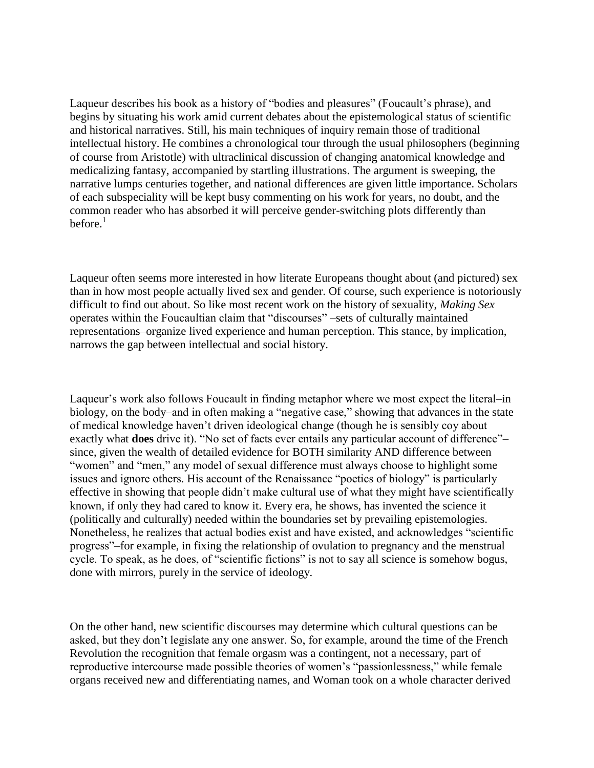Laqueur describes his book as a history of "bodies and pleasures" (Foucault's phrase), and begins by situating his work amid current debates about the epistemological status of scientific and historical narratives. Still, his main techniques of inquiry remain those of traditional intellectual history. He combines a chronological tour through the usual philosophers (beginning of course from Aristotle) with ultraclinical discussion of changing anatomical knowledge and medicalizing fantasy, accompanied by startling illustrations. The argument is sweeping, the narrative lumps centuries together, and national differences are given little importance. Scholars of each subspeciality will be kept busy commenting on his work for years, no doubt, and the common reader who has absorbed it will perceive gender-switching plots differently than before. $<sup>1</sup>$ </sup>

Laqueur often seems more interested in how literate Europeans thought about (and pictured) sex than in how most people actually lived sex and gender. Of course, such experience is notoriously difficult to find out about. So like most recent work on the history of sexuality, *Making Sex* operates within the Foucaultian claim that "discourses" –sets of culturally maintained representations–organize lived experience and human perception. This stance, by implication, narrows the gap between intellectual and social history.

Laqueur's work also follows Foucault in finding metaphor where we most expect the literal–in biology, on the body–and in often making a "negative case," showing that advances in the state of medical knowledge haven't driven ideological change (though he is sensibly coy about exactly what **does** drive it). "No set of facts ever entails any particular account of difference"– since, given the wealth of detailed evidence for BOTH similarity AND difference between "women" and "men," any model of sexual difference must always choose to highlight some issues and ignore others. His account of the Renaissance "poetics of biology" is particularly effective in showing that people didn't make cultural use of what they might have scientifically known, if only they had cared to know it. Every era, he shows, has invented the science it (politically and culturally) needed within the boundaries set by prevailing epistemologies. Nonetheless, he realizes that actual bodies exist and have existed, and acknowledges "scientific progress"–for example, in fixing the relationship of ovulation to pregnancy and the menstrual cycle. To speak, as he does, of "scientific fictions" is not to say all science is somehow bogus, done with mirrors, purely in the service of ideology.

On the other hand, new scientific discourses may determine which cultural questions can be asked, but they don't legislate any one answer. So, for example, around the time of the French Revolution the recognition that female orgasm was a contingent, not a necessary, part of reproductive intercourse made possible theories of women's "passionlessness," while female organs received new and differentiating names, and Woman took on a whole character derived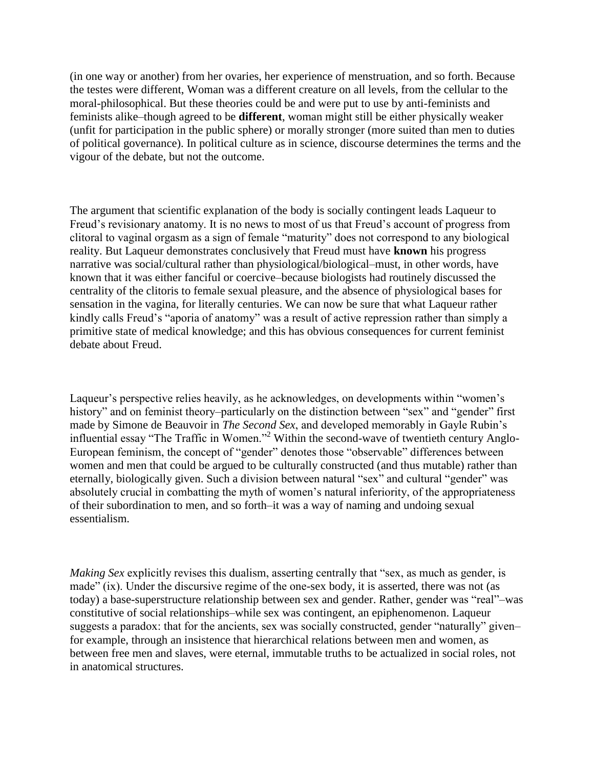(in one way or another) from her ovaries, her experience of menstruation, and so forth. Because the testes were different, Woman was a different creature on all levels, from the cellular to the moral-philosophical. But these theories could be and were put to use by anti-feminists and feminists alike–though agreed to be **different**, woman might still be either physically weaker (unfit for participation in the public sphere) or morally stronger (more suited than men to duties of political governance). In political culture as in science, discourse determines the terms and the vigour of the debate, but not the outcome.

The argument that scientific explanation of the body is socially contingent leads Laqueur to Freud's revisionary anatomy. It is no news to most of us that Freud's account of progress from clitoral to vaginal orgasm as a sign of female "maturity" does not correspond to any biological reality. But Laqueur demonstrates conclusively that Freud must have **known** his progress narrative was social/cultural rather than physiological/biological–must, in other words, have known that it was either fanciful or coercive–because biologists had routinely discussed the centrality of the clitoris to female sexual pleasure, and the absence of physiological bases for sensation in the vagina, for literally centuries. We can now be sure that what Laqueur rather kindly calls Freud's "aporia of anatomy" was a result of active repression rather than simply a primitive state of medical knowledge; and this has obvious consequences for current feminist debate about Freud.

Laqueur's perspective relies heavily, as he acknowledges, on developments within "women's history" and on feminist theory–particularly on the distinction between "sex" and "gender" first made by Simone de Beauvoir in *The Second Sex*, and developed memorably in Gayle Rubin's influential essay "The Traffic in Women."<sup>2</sup> Within the second-wave of twentieth century Anglo-European feminism, the concept of "gender" denotes those "observable" differences between women and men that could be argued to be culturally constructed (and thus mutable) rather than eternally, biologically given. Such a division between natural "sex" and cultural "gender" was absolutely crucial in combatting the myth of women's natural inferiority, of the appropriateness of their subordination to men, and so forth–it was a way of naming and undoing sexual essentialism.

*Making Sex* explicitly revises this dualism, asserting centrally that "sex, as much as gender, is made" (ix). Under the discursive regime of the one-sex body, it is asserted, there was not (as today) a base-superstructure relationship between sex and gender. Rather, gender was "real"–was constitutive of social relationships–while sex was contingent, an epiphenomenon. Laqueur suggests a paradox: that for the ancients, sex was socially constructed, gender "naturally" given– for example, through an insistence that hierarchical relations between men and women, as between free men and slaves, were eternal, immutable truths to be actualized in social roles, not in anatomical structures.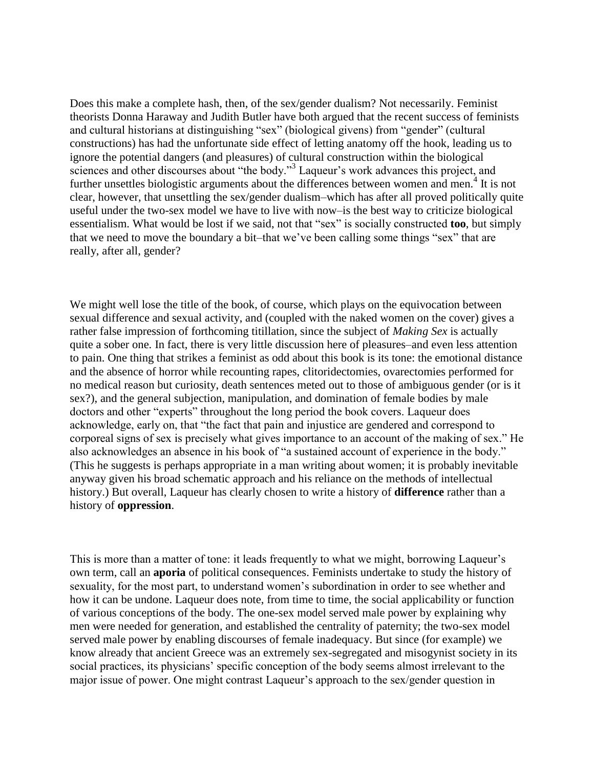Does this make a complete hash, then, of the sex/gender dualism? Not necessarily. Feminist theorists Donna Haraway and Judith Butler have both argued that the recent success of feminists and cultural historians at distinguishing "sex" (biological givens) from "gender" (cultural constructions) has had the unfortunate side effect of letting anatomy off the hook, leading us to ignore the potential dangers (and pleasures) of cultural construction within the biological sciences and other discourses about "the body."<sup>3</sup> Laqueur's work advances this project, and further unsettles biologistic arguments about the differences between women and men.<sup>4</sup> It is not clear, however, that unsettling the sex/gender dualism–which has after all proved politically quite useful under the two-sex model we have to live with now–is the best way to criticize biological essentialism. What would be lost if we said, not that "sex" is socially constructed **too**, but simply that we need to move the boundary a bit–that we've been calling some things "sex" that are really, after all, gender?

We might well lose the title of the book, of course, which plays on the equivocation between sexual difference and sexual activity, and (coupled with the naked women on the cover) gives a rather false impression of forthcoming titillation, since the subject of *Making Sex* is actually quite a sober one. In fact, there is very little discussion here of pleasures–and even less attention to pain. One thing that strikes a feminist as odd about this book is its tone: the emotional distance and the absence of horror while recounting rapes, clitoridectomies, ovarectomies performed for no medical reason but curiosity, death sentences meted out to those of ambiguous gender (or is it sex?), and the general subjection, manipulation, and domination of female bodies by male doctors and other "experts" throughout the long period the book covers. Laqueur does acknowledge, early on, that "the fact that pain and injustice are gendered and correspond to corporeal signs of sex is precisely what gives importance to an account of the making of sex." He also acknowledges an absence in his book of "a sustained account of experience in the body." (This he suggests is perhaps appropriate in a man writing about women; it is probably inevitable anyway given his broad schematic approach and his reliance on the methods of intellectual history.) But overall, Laqueur has clearly chosen to write a history of **difference** rather than a history of **oppression**.

This is more than a matter of tone: it leads frequently to what we might, borrowing Laqueur's own term, call an **aporia** of political consequences. Feminists undertake to study the history of sexuality, for the most part, to understand women's subordination in order to see whether and how it can be undone. Laqueur does note, from time to time, the social applicability or function of various conceptions of the body. The one-sex model served male power by explaining why men were needed for generation, and established the centrality of paternity; the two-sex model served male power by enabling discourses of female inadequacy. But since (for example) we know already that ancient Greece was an extremely sex-segregated and misogynist society in its social practices, its physicians' specific conception of the body seems almost irrelevant to the major issue of power. One might contrast Laqueur's approach to the sex/gender question in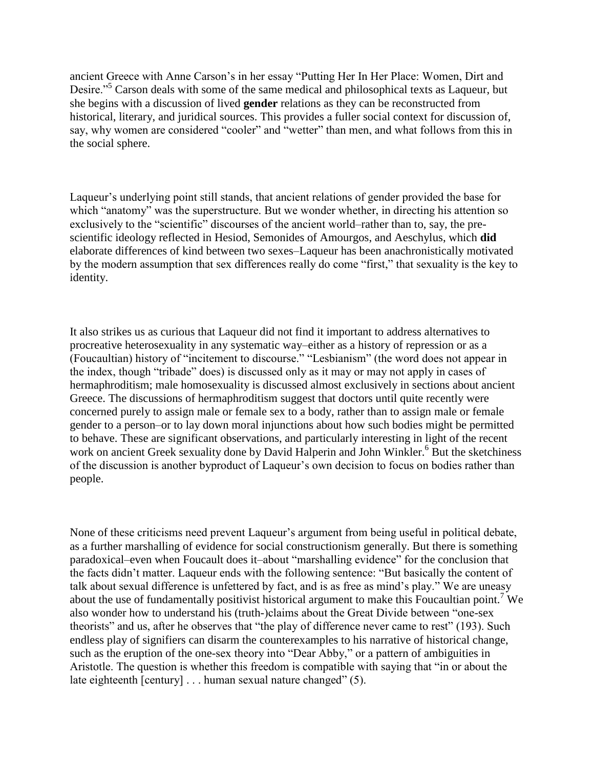ancient Greece with Anne Carson's in her essay "Putting Her In Her Place: Women, Dirt and Desire."<sup>5</sup> Carson deals with some of the same medical and philosophical texts as Laqueur, but she begins with a discussion of lived **gender** relations as they can be reconstructed from historical, literary, and juridical sources. This provides a fuller social context for discussion of, say, why women are considered "cooler" and "wetter" than men, and what follows from this in the social sphere.

Laqueur's underlying point still stands, that ancient relations of gender provided the base for which "anatomy" was the superstructure. But we wonder whether, in directing his attention so exclusively to the "scientific" discourses of the ancient world–rather than to, say, the prescientific ideology reflected in Hesiod, Semonides of Amourgos, and Aeschylus, which **did** elaborate differences of kind between two sexes–Laqueur has been anachronistically motivated by the modern assumption that sex differences really do come "first," that sexuality is the key to identity.

It also strikes us as curious that Laqueur did not find it important to address alternatives to procreative heterosexuality in any systematic way–either as a history of repression or as a (Foucaultian) history of "incitement to discourse." "Lesbianism" (the word does not appear in the index, though "tribade" does) is discussed only as it may or may not apply in cases of hermaphroditism; male homosexuality is discussed almost exclusively in sections about ancient Greece. The discussions of hermaphroditism suggest that doctors until quite recently were concerned purely to assign male or female sex to a body, rather than to assign male or female gender to a person–or to lay down moral injunctions about how such bodies might be permitted to behave. These are significant observations, and particularly interesting in light of the recent work on ancient Greek sexuality done by David Halperin and John Winkler.<sup>6</sup> But the sketchiness of the discussion is another byproduct of Laqueur's own decision to focus on bodies rather than people.

None of these criticisms need prevent Laqueur's argument from being useful in political debate, as a further marshalling of evidence for social constructionism generally. But there is something paradoxical–even when Foucault does it–about "marshalling evidence" for the conclusion that the facts didn't matter. Laqueur ends with the following sentence: "But basically the content of talk about sexual difference is unfettered by fact, and is as free as mind's play." We are uneasy about the use of fundamentally positivist historical argument to make this Foucaultian point.<sup>7</sup> We also wonder how to understand his (truth-)claims about the Great Divide between "one-sex theorists" and us, after he observes that "the play of difference never came to rest" (193). Such endless play of signifiers can disarm the counterexamples to his narrative of historical change, such as the eruption of the one-sex theory into "Dear Abby," or a pattern of ambiguities in Aristotle. The question is whether this freedom is compatible with saying that "in or about the late eighteenth [century] . . . human sexual nature changed" (5).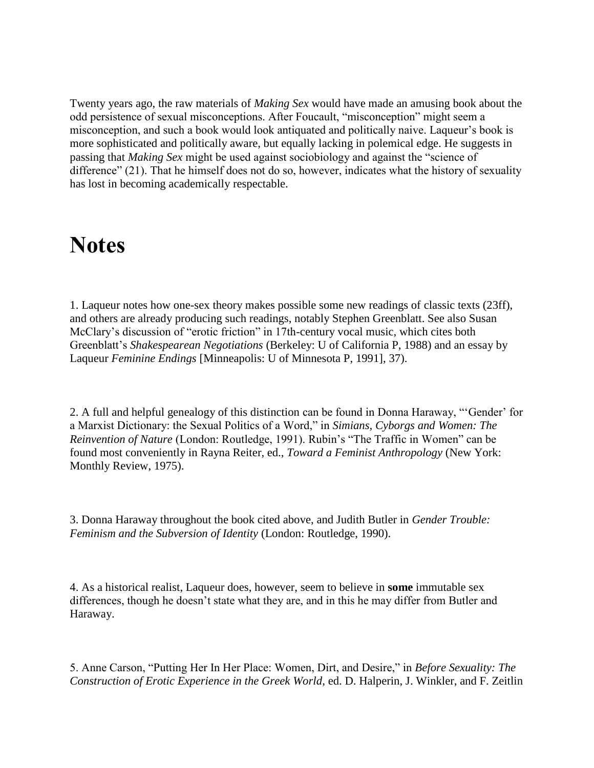Twenty years ago, the raw materials of *Making Sex* would have made an amusing book about the odd persistence of sexual misconceptions. After Foucault, "misconception" might seem a misconception, and such a book would look antiquated and politically naive. Laqueur's book is more sophisticated and politically aware, but equally lacking in polemical edge. He suggests in passing that *Making Sex* might be used against sociobiology and against the "science of difference" (21). That he himself does not do so, however, indicates what the history of sexuality has lost in becoming academically respectable.

## **Notes**

1. Laqueur notes how one-sex theory makes possible some new readings of classic texts (23ff), and others are already producing such readings, notably Stephen Greenblatt. See also Susan McClary's discussion of "erotic friction" in 17th-century vocal music, which cites both Greenblatt's *Shakespearean Negotiations* (Berkeley: U of California P, 1988) and an essay by Laqueur *Feminine Endings* [Minneapolis: U of Minnesota P, 1991], 37).

2. A full and helpful genealogy of this distinction can be found in Donna Haraway, "'Gender' for a Marxist Dictionary: the Sexual Politics of a Word," in *Simians, Cyborgs and Women: The Reinvention of Nature* (London: Routledge, 1991). Rubin's "The Traffic in Women" can be found most conveniently in Rayna Reiter, ed., *Toward a Feminist Anthropology* (New York: Monthly Review, 1975).

3. Donna Haraway throughout the book cited above, and Judith Butler in *Gender Trouble: Feminism and the Subversion of Identity* (London: Routledge, 1990).

4. As a historical realist, Laqueur does, however, seem to believe in **some** immutable sex differences, though he doesn't state what they are, and in this he may differ from Butler and Haraway.

5. Anne Carson, "Putting Her In Her Place: Women, Dirt, and Desire," in *Before Sexuality: The Construction of Erotic Experience in the Greek World*, ed. D. Halperin, J. Winkler, and F. Zeitlin